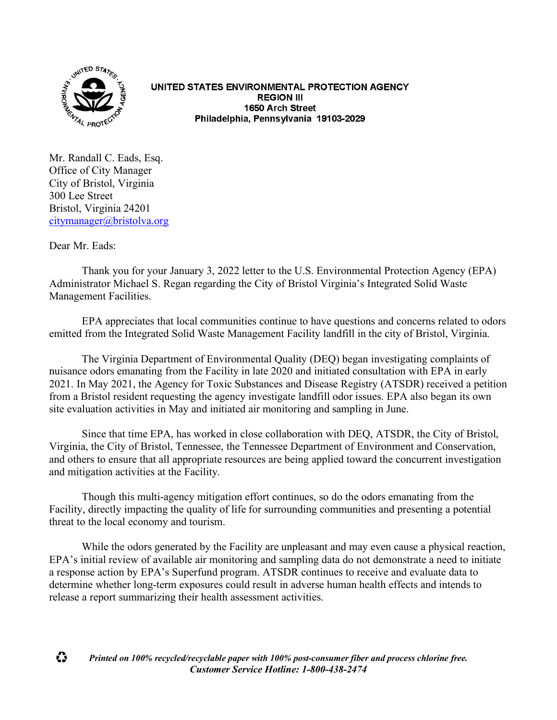

UNITED STATES ENVIRONMENTAL PROTECTION AGENCY **REGION III** 1650 Arch Street Philadelphia, Pennsylvania 19103-2029

Mr. Randall C. Eads, Esq. Office of City Manager City of Bristol, Virginia 300 Lee Street Bristol, Virginia 24201 [citymanager@bristolva.org](mailto:citymanager@bristolva.org)

Dear Mr. Eads:

Thank you for your January 3, 2022 letter to the U.S. Environmental Protection Agency (EPA) Administrator Michael S. Regan regarding the City of Bristol Virginia's Integrated Solid Waste Management Facilities.

EPA appreciates that local communities continue to have questions and concerns related to odors emitted from the Integrated Solid Waste Management Facility landfill in the city of Bristol, Virginia.

The Virginia Department of Environmental Quality (DEQ) began investigating complaints of nuisance odors emanating from the Facility in late 2020 and initiated consultation with EPA in early 2021. In May 2021, the Agency for Toxic Substances and Disease Registry (ATSDR) received a petition from a Bristol resident requesting the agency investigate landfill odor issues. EPA also began its own site evaluation activities in May and initiated air monitoring and sampling in June.

Since that time EPA, has worked in close collaboration with DEQ, ATSDR, the City of Bristol, Virginia, the City of Bristol, Tennessee, the Tennessee Department of Environment and Conservation, and others to ensure that all appropriate resources are being applied toward the concurrent investigation and mitigation activities at the Facility.

Though this multi-agency mitigation effort continues, so do the odors emanating from the Facility, directly impacting the quality of life for surrounding communities and presenting a potential threat to the local economy and tourism.

While the odors generated by the Facility are unpleasant and may even cause a physical reaction, EPA's initial review of available air monitoring and sampling data do not demonstrate a need to initiate a response action by EPA's Superfund program. ATSDR continues to receive and evaluate data to determine whether long-term exposures could result in adverse human health effects and intends to release a report summarizing their health assessment activities.

♻ *Printed on 100% recycled/recyclable paper with 100% post-consumer fiber and process chlorine free. Customer Service Hotline: 1-800-438-2474*